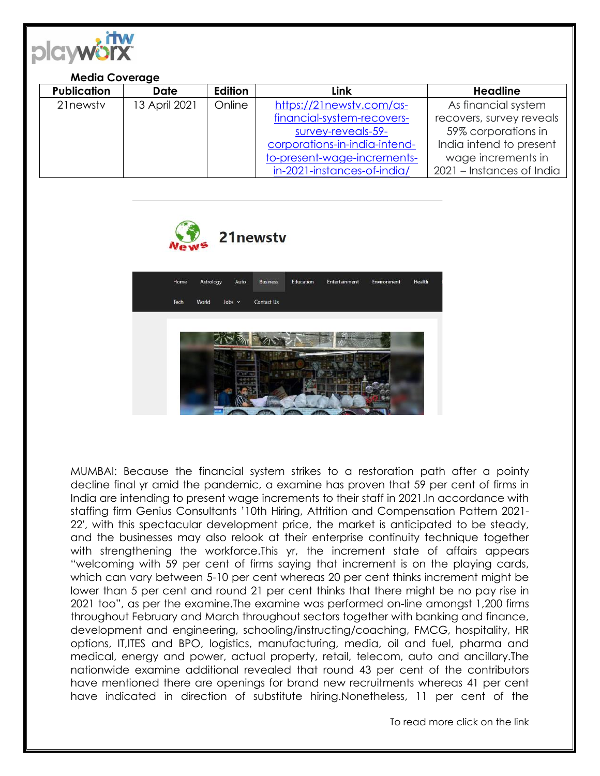

## **Media Coverage**

| <b>Publication</b> | <b>Date</b>   | Edition | <b>Link</b>                   | <b>Headline</b>           |
|--------------------|---------------|---------|-------------------------------|---------------------------|
| 21 newsty          | 13 April 2021 | Online  | https://21newstv.com/as-      | As financial system       |
|                    |               |         | financial-system-recovers-    | recovers, survey reveals  |
|                    |               |         | survey-reveals-59-            | 59% corporations in       |
|                    |               |         | corporations-in-india-intend- | India intend to present   |
|                    |               |         | to-present-wage-increments-   | wage increments in        |
|                    |               |         | in-2021-instances-of-india/   | 2021 - Instances of India |





MUMBAI: Because the financial system strikes to a restoration path after a pointy decline final yr amid the pandemic, a examine has proven that 59 per cent of firms in India are intending to present wage increments to their staff in 2021.In accordance with staffing firm Genius Consultants '10th Hiring, Attrition and Compensation Pattern 2021- 22′, with this spectacular development price, the market is anticipated to be steady, and the businesses may also relook at their enterprise continuity technique together with strengthening the workforce.This yr, the increment state of affairs appears "welcoming with 59 per cent of firms saying that increment is on the playing cards, which can vary between 5-10 per cent whereas 20 per cent thinks increment might be lower than 5 per cent and round 21 per cent thinks that there might be no pay rise in 2021 too", as per the examine.The examine was performed on-line amongst 1,200 firms throughout February and March throughout sectors together with banking and finance, development and engineering, schooling/instructing/coaching, FMCG, hospitality, HR options, IT,ITES and BPO, logistics, manufacturing, media, oil and fuel, pharma and medical, energy and power, actual property, retail, telecom, auto and ancillary.The nationwide examine additional revealed that round 43 per cent of the contributors have mentioned there are openings for brand new recruitments whereas 41 per cent have indicated in direction of substitute hiring.Nonetheless, 11 per cent of the

To read more click on the link